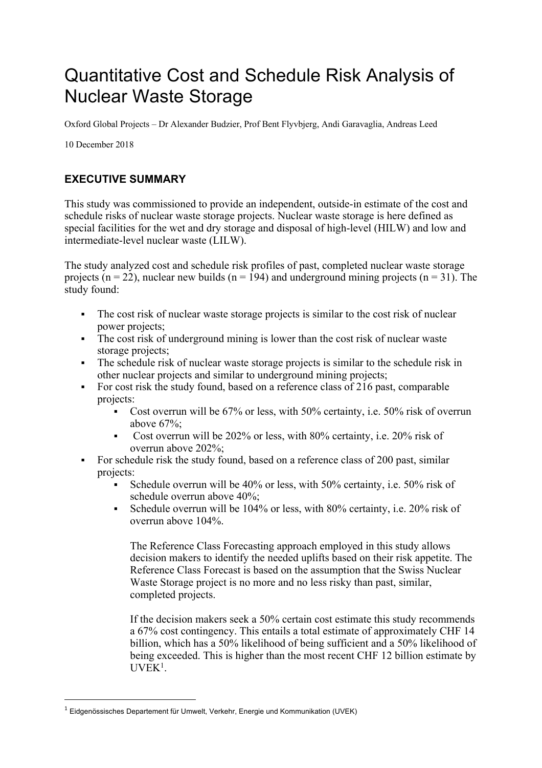## Quantitative Cost and Schedule Risk Analysis of Nuclear Waste Storage

Oxford Global Projects – Dr Alexander Budzier, Prof Bent Flyvbjerg, Andi Garavaglia, Andreas Leed

10 December 2018

## **EXECUTIVE SUMMARY**

This study was commissioned to provide an independent, outside-in estimate of the cost and schedule risks of nuclear waste storage projects. Nuclear waste storage is here defined as special facilities for the wet and dry storage and disposal of high-level (HILW) and low and intermediate-level nuclear waste (LILW).

The study analyzed cost and schedule risk profiles of past, completed nuclear waste storage projects ( $n = 22$ ), nuclear new builds ( $n = 194$ ) and underground mining projects ( $n = 31$ ). The study found:

- The cost risk of nuclear waste storage projects is similar to the cost risk of nuclear power projects;
- The cost risk of underground mining is lower than the cost risk of nuclear waste storage projects;
- The schedule risk of nuclear waste storage projects is similar to the schedule risk in other nuclear projects and similar to underground mining projects;
- For cost risk the study found, based on a reference class of 216 past, comparable projects:
	- Cost overrun will be 67% or less, with 50% certainty, i.e. 50% risk of overrun above 67%;
	- § Cost overrun will be 202% or less, with 80% certainty, i.e. 20% risk of overrun above 202%;
- For schedule risk the study found, based on a reference class of 200 past, similar projects:
	- Schedule overrun will be 40% or less, with 50% certainty, i.e. 50% risk of schedule overrun above 40%;
	- Schedule overrun will be 104% or less, with 80% certainty, i.e. 20% risk of overrun above 104%.

The Reference Class Forecasting approach employed in this study allows decision makers to identify the needed uplifts based on their risk appetite. The Reference Class Forecast is based on the assumption that the Swiss Nuclear Waste Storage project is no more and no less risky than past, similar, completed projects.

If the decision makers seek a 50% certain cost estimate this study recommends a 67% cost contingency. This entails a total estimate of approximately CHF 14 billion, which has a 50% likelihood of being sufficient and a 50% likelihood of being exceeded. This is higher than the most recent CHF 12 billion estimate by UVEK<sup>1</sup>.

 $1$  Eidgenössisches Departement für Umwelt, Verkehr, Energie und Kommunikation (UVEK)